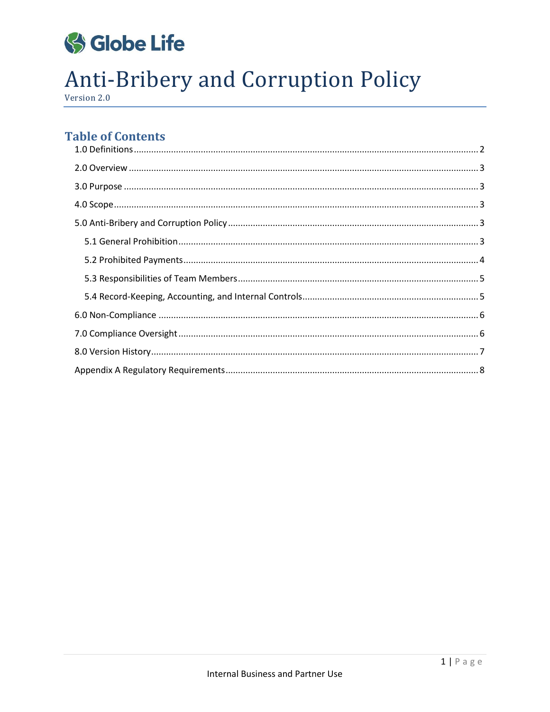

# **Anti-Bribery and Corruption Policy**

Version 2.0

# **Table of Contents**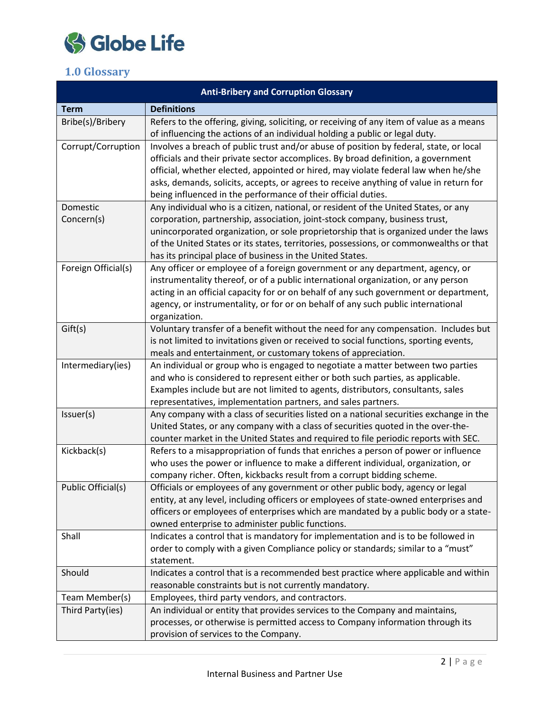

# <span id="page-1-0"></span>**1.0 Glossary**

| <b>Anti-Bribery and Corruption Glossary</b> |                                                                                                                                                                                                                                                                                                                                                                                                                              |  |  |  |  |  |
|---------------------------------------------|------------------------------------------------------------------------------------------------------------------------------------------------------------------------------------------------------------------------------------------------------------------------------------------------------------------------------------------------------------------------------------------------------------------------------|--|--|--|--|--|
| <b>Term</b>                                 | <b>Definitions</b>                                                                                                                                                                                                                                                                                                                                                                                                           |  |  |  |  |  |
| Bribe(s)/Bribery                            | Refers to the offering, giving, soliciting, or receiving of any item of value as a means<br>of influencing the actions of an individual holding a public or legal duty.                                                                                                                                                                                                                                                      |  |  |  |  |  |
| Corrupt/Corruption                          | Involves a breach of public trust and/or abuse of position by federal, state, or local<br>officials and their private sector accomplices. By broad definition, a government<br>official, whether elected, appointed or hired, may violate federal law when he/she<br>asks, demands, solicits, accepts, or agrees to receive anything of value in return for<br>being influenced in the performance of their official duties. |  |  |  |  |  |
| Domestic                                    | Any individual who is a citizen, national, or resident of the United States, or any                                                                                                                                                                                                                                                                                                                                          |  |  |  |  |  |
| Concern(s)                                  | corporation, partnership, association, joint-stock company, business trust,<br>unincorporated organization, or sole proprietorship that is organized under the laws<br>of the United States or its states, territories, possessions, or commonwealths or that<br>has its principal place of business in the United States.                                                                                                   |  |  |  |  |  |
| Foreign Official(s)                         | Any officer or employee of a foreign government or any department, agency, or<br>instrumentality thereof, or of a public international organization, or any person<br>acting in an official capacity for or on behalf of any such government or department,<br>agency, or instrumentality, or for or on behalf of any such public international<br>organization.                                                             |  |  |  |  |  |
| Gift(s)                                     | Voluntary transfer of a benefit without the need for any compensation. Includes but<br>is not limited to invitations given or received to social functions, sporting events,<br>meals and entertainment, or customary tokens of appreciation.                                                                                                                                                                                |  |  |  |  |  |
| Intermediary(ies)                           | An individual or group who is engaged to negotiate a matter between two parties<br>and who is considered to represent either or both such parties, as applicable.<br>Examples include but are not limited to agents, distributors, consultants, sales<br>representatives, implementation partners, and sales partners.                                                                                                       |  |  |  |  |  |
| Issuer(s)                                   | Any company with a class of securities listed on a national securities exchange in the<br>United States, or any company with a class of securities quoted in the over-the-<br>counter market in the United States and required to file periodic reports with SEC.                                                                                                                                                            |  |  |  |  |  |
| Kickback(s)                                 | Refers to a misappropriation of funds that enriches a person of power or influence<br>who uses the power or influence to make a different individual, organization, or<br>company richer. Often, kickbacks result from a corrupt bidding scheme.                                                                                                                                                                             |  |  |  |  |  |
| Public Official(s)                          | Officials or employees of any government or other public body, agency or legal<br>entity, at any level, including officers or employees of state-owned enterprises and<br>officers or employees of enterprises which are mandated by a public body or a state-<br>owned enterprise to administer public functions.                                                                                                           |  |  |  |  |  |
| Shall                                       | Indicates a control that is mandatory for implementation and is to be followed in<br>order to comply with a given Compliance policy or standards; similar to a "must"<br>statement.                                                                                                                                                                                                                                          |  |  |  |  |  |
| Should                                      | Indicates a control that is a recommended best practice where applicable and within<br>reasonable constraints but is not currently mandatory.                                                                                                                                                                                                                                                                                |  |  |  |  |  |
| Team Member(s)                              | Employees, third party vendors, and contractors.                                                                                                                                                                                                                                                                                                                                                                             |  |  |  |  |  |
| Third Party(ies)                            | An individual or entity that provides services to the Company and maintains,<br>processes, or otherwise is permitted access to Company information through its<br>provision of services to the Company.                                                                                                                                                                                                                      |  |  |  |  |  |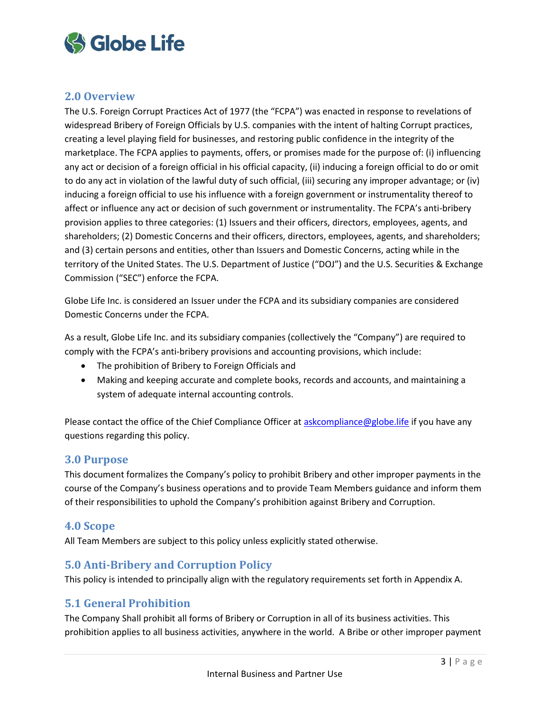

# <span id="page-2-0"></span>**2.0 Overview**

The U.S. Foreign Corrupt Practices Act of 1977 (the "FCPA") was enacted in response to revelations of widespread Bribery of Foreign Officials by U.S. companies with the intent of halting Corrupt practices, creating a level playing field for businesses, and restoring public confidence in the integrity of the marketplace. The FCPA applies to payments, offers, or promises made for the purpose of: (i) influencing any act or decision of a foreign official in his official capacity, (ii) inducing a foreign official to do or omit to do any act in violation of the lawful duty of such official, (iii) securing any improper advantage; or (iv) inducing a foreign official to use his influence with a foreign government or instrumentality thereof to affect or influence any act or decision of such government or instrumentality. The FCPA's anti-bribery provision applies to three categories: (1) Issuers and their officers, directors, employees, agents, and shareholders; (2) Domestic Concerns and their officers, directors, employees, agents, and shareholders; and (3) certain persons and entities, other than Issuers and Domestic Concerns, acting while in the territory of the United States. The U.S. Department of Justice ("DOJ") and the U.S. Securities & Exchange Commission ("SEC") enforce the FCPA.

Globe Life Inc. is considered an Issuer under the FCPA and its subsidiary companies are considered Domestic Concerns under the FCPA.

As a result, Globe Life Inc. and its subsidiary companies (collectively the "Company") are required to comply with the FCPA's anti-bribery provisions and accounting provisions, which include:

- The prohibition of Bribery to Foreign Officials and
- Making and keeping accurate and complete books, records and accounts, and maintaining a system of adequate internal accounting controls.

Please contact the office of the Chief Compliance Officer at [askcompliance@globe.life](mailto:askcompliance@globe.life) if you have any questions regarding this policy.

## <span id="page-2-1"></span>**3.0 Purpose**

This document formalizes the Company's policy to prohibit Bribery and other improper payments in the course of the Company's business operations and to provide Team Members guidance and inform them of their responsibilities to uphold the Company's prohibition against Bribery and Corruption.

## <span id="page-2-2"></span>**4.0 Scope**

All Team Members are subject to this policy unless explicitly stated otherwise.

## <span id="page-2-3"></span>**5.0 Anti-Bribery and Corruption Policy**

This policy is intended to principally align with the regulatory requirements set forth in Appendix A.

## <span id="page-2-4"></span>**5.1 General Prohibition**

The Company Shall prohibit all forms of Bribery or Corruption in all of its business activities. This prohibition applies to all business activities, anywhere in the world. A Bribe or other improper payment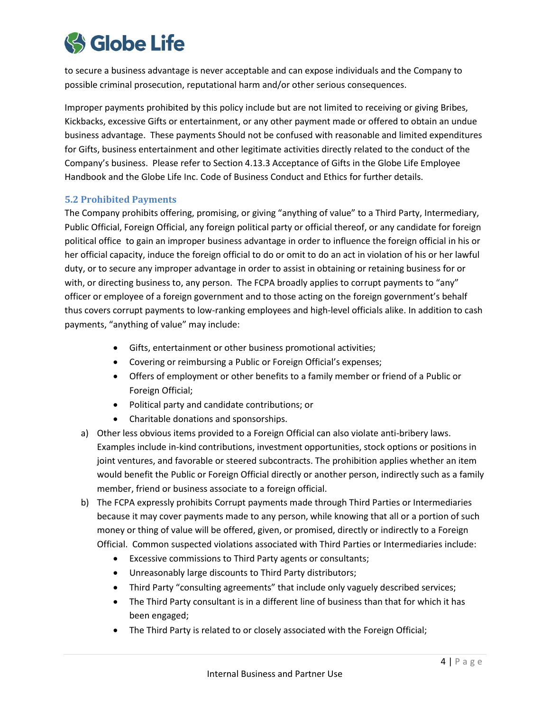

to secure a business advantage is never acceptable and can expose individuals and the Company to possible criminal prosecution, reputational harm and/or other serious consequences.

Improper payments prohibited by this policy include but are not limited to receiving or giving Bribes, Kickbacks, excessive Gifts or entertainment, or any other payment made or offered to obtain an undue business advantage. These payments Should not be confused with reasonable and limited expenditures for Gifts, business entertainment and other legitimate activities directly related to the conduct of the Company's business. Please refer to Section 4.13.3 Acceptance of Gifts in the Globe Life Employee Handbook and the Globe Life Inc. Code of Business Conduct and Ethics for further details.

#### <span id="page-3-0"></span>**5.2 Prohibited Payments**

The Company prohibits offering, promising, or giving "anything of value" to a Third Party, Intermediary, Public Official, Foreign Official, any foreign political party or official thereof, or any candidate for foreign political office to gain an improper business advantage in order to influence the foreign official in his or her official capacity, induce the foreign official to do or omit to do an act in violation of his or her lawful duty, or to secure any improper advantage in order to assist in obtaining or retaining business for or with, or directing business to, any person. The FCPA broadly applies to corrupt payments to "any" officer or employee of a foreign government and to those acting on the foreign government's behalf thus covers corrupt payments to low-ranking employees and high-level officials alike. In addition to cash payments, "anything of value" may include:

- Gifts, entertainment or other business promotional activities;
- Covering or reimbursing a Public or Foreign Official's expenses;
- Offers of employment or other benefits to a family member or friend of a Public or Foreign Official;
- Political party and candidate contributions; or
- Charitable donations and sponsorships.
- a) Other less obvious items provided to a Foreign Official can also violate anti-bribery laws. Examples include in-kind contributions, investment opportunities, stock options or positions in joint ventures, and favorable or steered subcontracts. The prohibition applies whether an item would benefit the Public or Foreign Official directly or another person, indirectly such as a family member, friend or business associate to a foreign official.
- b) The FCPA expressly prohibits Corrupt payments made through Third Parties or Intermediaries because it may cover payments made to any person, while knowing that all or a portion of such money or thing of value will be offered, given, or promised, directly or indirectly to a Foreign Official. Common suspected violations associated with Third Parties or Intermediaries include:
	- Excessive commissions to Third Party agents or consultants;
	- Unreasonably large discounts to Third Party distributors;
	- Third Party "consulting agreements" that include only vaguely described services;
	- The Third Party consultant is in a different line of business than that for which it has been engaged;
	- The Third Party is related to or closely associated with the Foreign Official;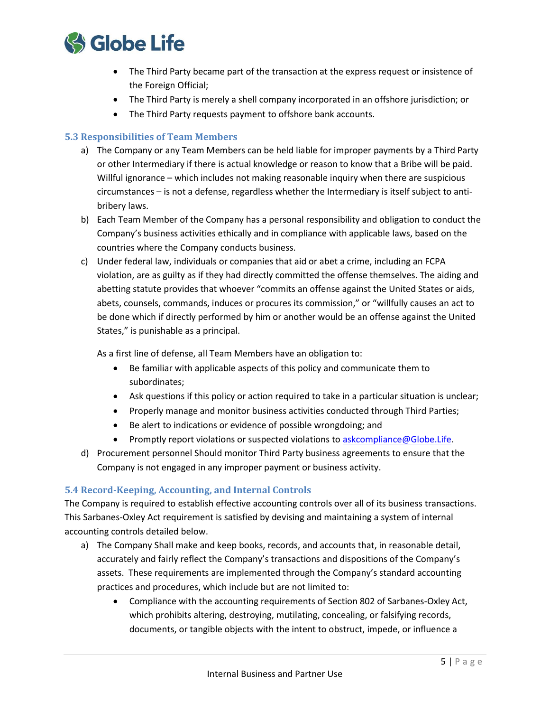

- The Third Party became part of the transaction at the express request or insistence of the Foreign Official;
- The Third Party is merely a shell company incorporated in an offshore jurisdiction; or
- The Third Party requests payment to offshore bank accounts.

#### <span id="page-4-0"></span>**5.3 Responsibilities of Team Members**

- a) The Company or any Team Members can be held liable for improper payments by a Third Party or other Intermediary if there is actual knowledge or reason to know that a Bribe will be paid. Willful ignorance – which includes not making reasonable inquiry when there are suspicious circumstances – is not a defense, regardless whether the Intermediary is itself subject to antibribery laws.
- b) Each Team Member of the Company has a personal responsibility and obligation to conduct the Company's business activities ethically and in compliance with applicable laws, based on the countries where the Company conducts business.
- c) Under federal law, individuals or companies that aid or abet a crime, including an FCPA violation, are as guilty as if they had directly committed the offense themselves. The aiding and abetting statute provides that whoever "commits an offense against the United States or aids, abets, counsels, commands, induces or procures its commission," or "willfully causes an act to be done which if directly performed by him or another would be an offense against the United States," is punishable as a principal.

As a first line of defense, all Team Members have an obligation to:

- Be familiar with applicable aspects of this policy and communicate them to subordinates;
- Ask questions if this policy or action required to take in a particular situation is unclear;
- Properly manage and monitor business activities conducted through Third Parties;
- Be alert to indications or evidence of possible wrongdoing; and
- **•** Promptly report violations or suspected violations t[o askcompliance@Globe.Life.](mailto:askcompliance@Globe.Life)
- d) Procurement personnel Should monitor Third Party business agreements to ensure that the Company is not engaged in any improper payment or business activity.

#### <span id="page-4-1"></span>**5.4 Record-Keeping, Accounting, and Internal Controls**

The Company is required to establish effective accounting controls over all of its business transactions. This Sarbanes-Oxley Act requirement is satisfied by devising and maintaining a system of internal accounting controls detailed below.

- a) The Company Shall make and keep books, records, and accounts that, in reasonable detail, accurately and fairly reflect the Company's transactions and dispositions of the Company's assets. These requirements are implemented through the Company's standard accounting practices and procedures, which include but are not limited to:
	- Compliance with the accounting requirements of Section 802 of Sarbanes-Oxley Act, which prohibits altering, destroying, mutilating, concealing, or falsifying records, documents, or tangible objects with the intent to obstruct, impede, or influence a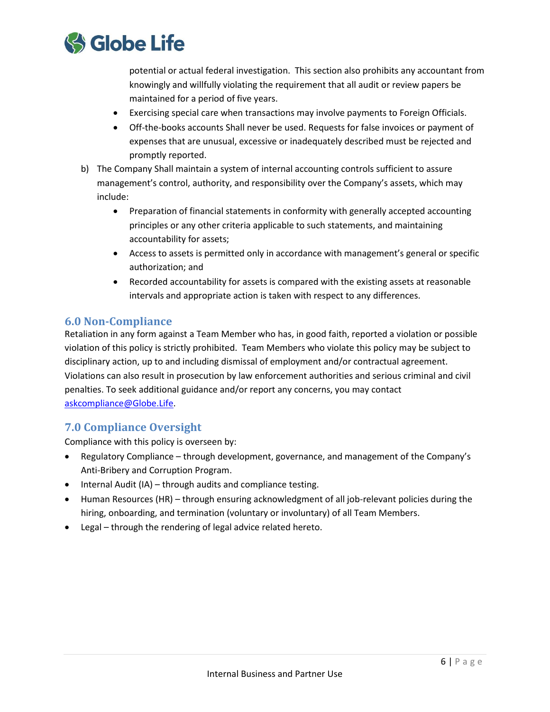

potential or actual federal investigation. This section also prohibits any accountant from knowingly and willfully violating the requirement that all audit or review papers be maintained for a period of five years.

- Exercising special care when transactions may involve payments to Foreign Officials.
- Off-the-books accounts Shall never be used. Requests for false invoices or payment of expenses that are unusual, excessive or inadequately described must be rejected and promptly reported.
- b) The Company Shall maintain a system of internal accounting controls sufficient to assure management's control, authority, and responsibility over the Company's assets, which may include:
	- Preparation of financial statements in conformity with generally accepted accounting principles or any other criteria applicable to such statements, and maintaining accountability for assets;
	- Access to assets is permitted only in accordance with management's general or specific authorization; and
	- Recorded accountability for assets is compared with the existing assets at reasonable intervals and appropriate action is taken with respect to any differences.

## <span id="page-5-0"></span>**6.0 Non-Compliance**

Retaliation in any form against a Team Member who has, in good faith, reported a violation or possible violation of this policy is strictly prohibited. Team Members who violate this policy may be subject to disciplinary action, up to and including dismissal of employment and/or contractual agreement. Violations can also result in prosecution by law enforcement authorities and serious criminal and civil penalties. To seek additional guidance and/or report any concerns, you may contact [askcompliance@Globe.](mailto:askcompliance@torchmarkcorp.com)Life.

# <span id="page-5-1"></span>**7.0 Compliance Oversight**

Compliance with this policy is overseen by:

- Regulatory Compliance through development, governance, and management of the Company's Anti-Bribery and Corruption Program.
- Internal Audit (IA) through audits and compliance testing.
- Human Resources (HR) through ensuring acknowledgment of all job-relevant policies during the hiring, onboarding, and termination (voluntary or involuntary) of all Team Members.
- <span id="page-5-2"></span>Legal – through the rendering of legal advice related hereto.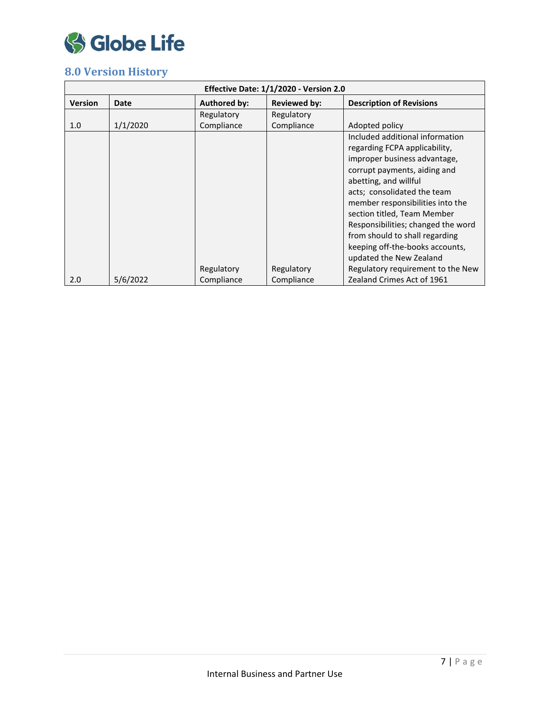

# **8.0 Version History**

| Effective Date: 1/1/2020 - Version 2.0 |          |                     |                     |                                    |  |  |  |
|----------------------------------------|----------|---------------------|---------------------|------------------------------------|--|--|--|
| <b>Version</b>                         | Date     | <b>Authored by:</b> | <b>Reviewed by:</b> | <b>Description of Revisions</b>    |  |  |  |
|                                        |          | Regulatory          | Regulatory          |                                    |  |  |  |
| 1.0                                    | 1/1/2020 | Compliance          | Compliance          | Adopted policy                     |  |  |  |
|                                        |          |                     |                     | Included additional information    |  |  |  |
|                                        |          |                     |                     | regarding FCPA applicability,      |  |  |  |
|                                        |          |                     |                     | improper business advantage,       |  |  |  |
|                                        |          |                     |                     | corrupt payments, aiding and       |  |  |  |
|                                        |          |                     |                     | abetting, and willful              |  |  |  |
|                                        |          |                     |                     | acts; consolidated the team        |  |  |  |
|                                        |          |                     |                     | member responsibilities into the   |  |  |  |
|                                        |          |                     |                     | section titled, Team Member        |  |  |  |
|                                        |          |                     |                     | Responsibilities; changed the word |  |  |  |
|                                        |          |                     |                     | from should to shall regarding     |  |  |  |
|                                        |          |                     |                     | keeping off-the-books accounts,    |  |  |  |
|                                        |          |                     |                     | updated the New Zealand            |  |  |  |
|                                        |          | Regulatory          | Regulatory          | Regulatory requirement to the New  |  |  |  |
| 2.0                                    | 5/6/2022 | Compliance          | Compliance          | Zealand Crimes Act of 1961         |  |  |  |